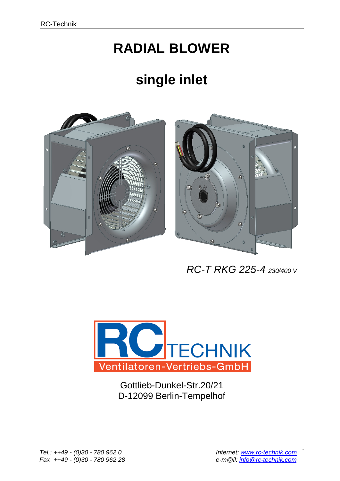## **RADIAL BLOWER**

## **single inlet**





 *RC-T RKG 225-4 230/400 V*



Gottlieb-Dunkel-Str.20/21 D-12099 Berlin-Tempelhof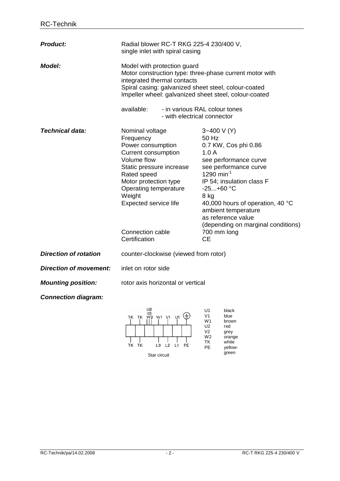| <b>Product:</b>               | Radial blower RC-T RKG 225-4 230/400 V,<br>single inlet with spiral casing                                                                                                                                                                                                                                           |                                                                                                                                                                                                                                                                                                                                             |
|-------------------------------|----------------------------------------------------------------------------------------------------------------------------------------------------------------------------------------------------------------------------------------------------------------------------------------------------------------------|---------------------------------------------------------------------------------------------------------------------------------------------------------------------------------------------------------------------------------------------------------------------------------------------------------------------------------------------|
| <i><b>Model:</b></i>          | Model with protection guard<br>Motor construction type: three-phase current motor with<br>integrated thermal contacts<br>Spiral casing: galvanized sheet steel, colour-coated<br>Impeller wheel: galvanized sheet steel, colour-coated<br>available:<br>- in various RAL colour tones<br>- with electrical connector |                                                                                                                                                                                                                                                                                                                                             |
| Technical data:               | Nominal voltage<br>Frequency<br>Power consumption<br><b>Current consumption</b><br>Volume flow<br>Static pressure increase<br>Rated speed<br>Motor protection type<br>Operating temperature<br>Weight<br>Expected service life<br>Connection cable<br>Certification                                                  | $3 - 400$ V (Y)<br>50 Hz<br>0.7 KW, Cos phi 0.86<br>1.0A<br>see performance curve<br>see performance curve<br>1290 min <sup>-1</sup><br>IP 54; insulation class F<br>$-25+60$ °C<br>8 kg<br>40,000 hours of operation, 40 °C<br>ambient temperature<br>as reference value<br>(depending on marginal conditions)<br>700 mm long<br><b>CE</b> |
| <b>Direction of rotation</b>  | counter-clockwise (viewed from rotor)                                                                                                                                                                                                                                                                                |                                                                                                                                                                                                                                                                                                                                             |
| <b>Direction of movement:</b> | inlet on rotor side                                                                                                                                                                                                                                                                                                  |                                                                                                                                                                                                                                                                                                                                             |
| <b>Mounting position:</b>     | rotor axis horizontal or vertical                                                                                                                                                                                                                                                                                    |                                                                                                                                                                                                                                                                                                                                             |
| <b>Connection diagram:</b>    |                                                                                                                                                                                                                                                                                                                      |                                                                                                                                                                                                                                                                                                                                             |
|                               | U <sub>2</sub><br>W1 V1<br>TK TK                                                                                                                                                                                                                                                                                     | U1<br>black<br>V1<br>blue<br>W1<br>brown<br>U <sub>2</sub><br>red                                                                                                                                                                                                                                                                           |



 $\frac{1}{1}$   $\frac{1}{1}$   $\frac{1}{1}$ 

 $\begin{array}{c|c|c|c|c|c} | & | & | & | & | \\ \hline \end{array}$  L2 L1 PE

V2 grey W2 orange TK white PE yellow-